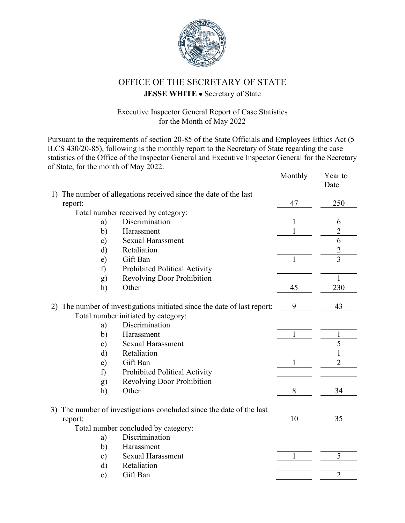

## OFFICE OF THE SECRETARY OF STATE

## **JESSE WHITE** • Secretary of State

## Executive Inspector General Report of Case Statistics for the Month of May 2022

Pursuant to the requirements of section 20-85 of the State Officials and Employees Ethics Act (5 ILCS 430/20-85), following is the monthly report to the Secretary of State regarding the case statistics of the Office of the Inspector General and Executive Inspector General for the Secretary of State, for the month of May 2022. Monthly Year to

|    |                                     |                                                                          | MONTHLY | r ear to<br>Date |
|----|-------------------------------------|--------------------------------------------------------------------------|---------|------------------|
| 1) |                                     | The number of allegations received since the date of the last            |         |                  |
|    | report:                             |                                                                          | 47      | 250              |
|    |                                     | Total number received by category:                                       |         |                  |
|    | a)                                  | Discrimination                                                           |         | 6                |
|    | b)                                  | Harassment                                                               |         | $\overline{2}$   |
|    | $\mathbf{c})$                       | <b>Sexual Harassment</b>                                                 |         | 6                |
|    | $\mathbf{d}$                        | Retaliation                                                              |         | $\overline{2}$   |
|    | e)                                  | Gift Ban                                                                 | 1       | $\overline{3}$   |
|    | f)                                  | Prohibited Political Activity                                            |         |                  |
|    | g)                                  | <b>Revolving Door Prohibition</b>                                        |         | $\mathbf{1}$     |
|    | h)                                  | Other                                                                    | 45      | 230              |
|    |                                     |                                                                          |         |                  |
|    |                                     | 2) The number of investigations initiated since the date of last report: | 9       | 43               |
|    |                                     | Total number initiated by category:                                      |         |                  |
|    | a)                                  | Discrimination                                                           |         |                  |
|    | b)                                  | Harassment                                                               |         | 1                |
|    | $\mathbf{c})$                       | <b>Sexual Harassment</b>                                                 |         | 5                |
|    | d)                                  | Retaliation                                                              |         | $\mathbf{1}$     |
|    | $\epsilon$ )                        | Gift Ban                                                                 | 1       | $\overline{2}$   |
|    | f)                                  | Prohibited Political Activity                                            |         |                  |
|    | g)                                  | <b>Revolving Door Prohibition</b>                                        |         |                  |
|    | h)                                  | Other                                                                    | 8       | 34               |
|    |                                     |                                                                          |         |                  |
| 3) |                                     | The number of investigations concluded since the date of the last        |         |                  |
|    | report:                             |                                                                          | 10      | 35               |
|    | Total number concluded by category: |                                                                          |         |                  |
|    | a)                                  | Discrimination                                                           |         |                  |
|    | b)                                  | Harassment                                                               |         |                  |
|    | $\mathbf{c})$                       | <b>Sexual Harassment</b>                                                 | 1       | 5                |
|    | $\mathbf{d}$                        | Retaliation                                                              |         |                  |
|    | e)                                  | Gift Ban                                                                 |         | $\overline{c}$   |